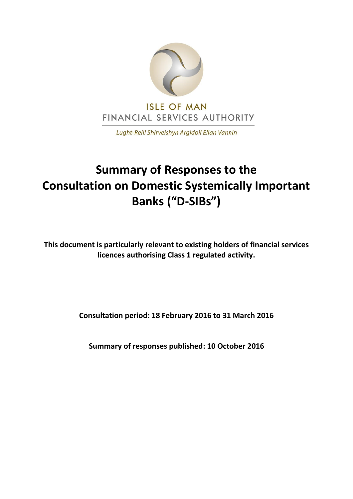

Lught-Reill Shirveishyn Argidoil Ellan Vannin

# **Summary of Responses to the Consultation on Domestic Systemically Important Banks ("D-SIBs")**

**This document is particularly relevant to existing holders of financial services licences authorising Class 1 regulated activity.**

**Consultation period: 18 February 2016 to 31 March 2016**

**Summary of responses published: 10 October 2016**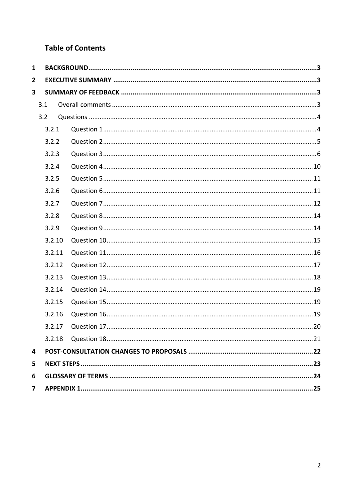# **Table of Contents**

| 1              |        |  |  |
|----------------|--------|--|--|
| $\mathbf{2}$   |        |  |  |
| 3              |        |  |  |
|                | 3.1    |  |  |
|                | 3.2    |  |  |
|                | 3.2.1  |  |  |
|                | 3.2.2  |  |  |
|                | 3.2.3  |  |  |
|                | 3.2.4  |  |  |
|                | 3.2.5  |  |  |
|                | 3.2.6  |  |  |
|                | 3.2.7  |  |  |
|                | 3.2.8  |  |  |
|                | 3.2.9  |  |  |
|                | 3.2.10 |  |  |
|                | 3.2.11 |  |  |
|                | 3.2.12 |  |  |
|                | 3.2.13 |  |  |
|                | 3.2.14 |  |  |
|                | 3.2.15 |  |  |
|                | 3.2.16 |  |  |
|                | 3.2.17 |  |  |
|                |        |  |  |
| 4              |        |  |  |
| 5              |        |  |  |
| 6              |        |  |  |
| $\overline{7}$ |        |  |  |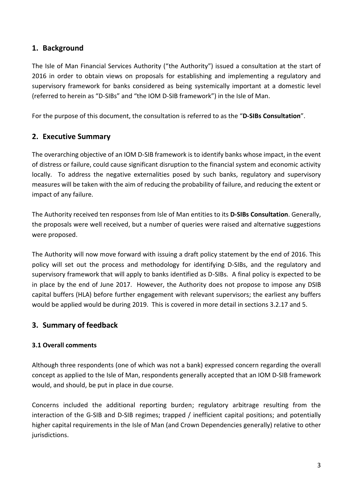# <span id="page-2-0"></span>**1. Background**

The Isle of Man Financial Services Authority ("the Authority") issued a consultation at the start of 2016 in order to obtain views on proposals for establishing and implementing a regulatory and supervisory framework for banks considered as being systemically important at a domestic level (referred to herein as "D-SIBs" and "the IOM D-SIB framework") in the Isle of Man.

For the purpose of this document, the consultation is referred to as the "**D-SIBs Consultation**".

# <span id="page-2-1"></span>**2. Executive Summary**

The overarching objective of an IOM D-SIB framework is to identify banks whose impact, in the event of distress or failure, could cause significant disruption to the financial system and economic activity locally. To address the negative externalities posed by such banks, regulatory and supervisory measures will be taken with the aim of reducing the probability of failure, and reducing the extent or impact of any failure.

The Authority received ten responses from Isle of Man entities to its **D-SIBs Consultation**. Generally, the proposals were well received, but a number of queries were raised and alternative suggestions were proposed.

The Authority will now move forward with issuing a draft policy statement by the end of 2016. This policy will set out the process and methodology for identifying D-SIBs, and the regulatory and supervisory framework that will apply to banks identified as D-SIBs. A final policy is expected to be in place by the end of June 2017. However, the Authority does not propose to impose any DSIB capital buffers (HLA) before further engagement with relevant supervisors; the earliest any buffers would be applied would be during 2019. This is covered in more detail in sections 3.2.17 and 5.

# <span id="page-2-3"></span><span id="page-2-2"></span>**3. Summary of feedback**

# **3.1 Overall comments**

Although three respondents (one of which was not a bank) expressed concern regarding the overall concept as applied to the Isle of Man, respondents generally accepted that an IOM D-SIB framework would, and should, be put in place in due course.

Concerns included the additional reporting burden; regulatory arbitrage resulting from the interaction of the G-SIB and D-SIB regimes; trapped / inefficient capital positions; and potentially higher capital requirements in the Isle of Man (and Crown Dependencies generally) relative to other jurisdictions.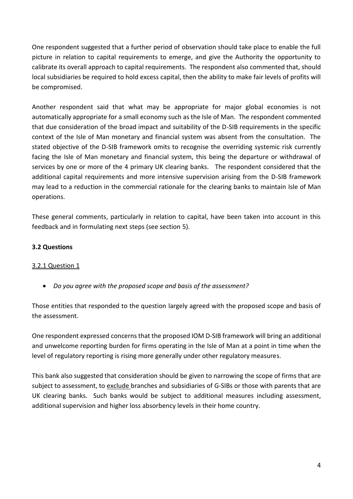One respondent suggested that a further period of observation should take place to enable the full picture in relation to capital requirements to emerge, and give the Authority the opportunity to calibrate its overall approach to capital requirements. The respondent also commented that, should local subsidiaries be required to hold excess capital, then the ability to make fair levels of profits will be compromised.

Another respondent said that what may be appropriate for major global economies is not automatically appropriate for a small economy such as the Isle of Man. The respondent commented that due consideration of the broad impact and suitability of the D-SIB requirements in the specific context of the Isle of Man monetary and financial system was absent from the consultation. The stated objective of the D-SIB framework omits to recognise the overriding systemic risk currently facing the Isle of Man monetary and financial system, this being the departure or withdrawal of services by one or more of the 4 primary UK clearing banks. The respondent considered that the additional capital requirements and more intensive supervision arising from the D-SIB framework may lead to a reduction in the commercial rationale for the clearing banks to maintain Isle of Man operations.

These general comments, particularly in relation to capital, have been taken into account in this feedback and in formulating next steps (see section 5).

#### <span id="page-3-0"></span>**3.2 Questions**

#### <span id="page-3-1"></span>3.2.1 Question 1

*Do you agree with the proposed scope and basis of the assessment?*

Those entities that responded to the question largely agreed with the proposed scope and basis of the assessment.

One respondent expressed concerns that the proposed IOM D-SIB framework will bring an additional and unwelcome reporting burden for firms operating in the Isle of Man at a point in time when the level of regulatory reporting is rising more generally under other regulatory measures.

This bank also suggested that consideration should be given to narrowing the scope of firms that are subject to assessment, to exclude branches and subsidiaries of G-SIBs or those with parents that are UK clearing banks. Such banks would be subject to additional measures including assessment, additional supervision and higher loss absorbency levels in their home country.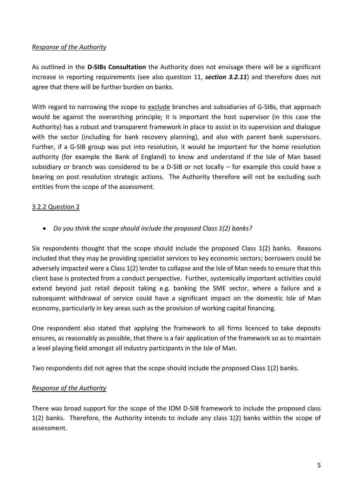#### *Response of the Authority*

<span id="page-4-0"></span>As outlined in the **D-SIBs Consultation** the Authority does not envisage there will be a significant increase in reporting requirements (see also question 11, *section 3.2.11*) and therefore does not agree that there will be further burden on banks.

With regard to narrowing the scope to exclude branches and subsidiaries of G-SIBs, that approach would be against the overarching principle; it is important the host supervisor (in this case the Authority) has a robust and transparent framework in place to assist in its supervision and dialogue with the sector (including for bank recovery planning), and also with parent bank supervisors. Further, if a G-SIB group was put into resolution, it would be important for the home resolution authority (for example the Bank of England) to know and understand if the Isle of Man based subsidiary or branch was considered to be a D-SIB or not locally – for example this could have a bearing on post resolution strategic actions. The Authority therefore will not be excluding such entities from the scope of the assessment.

#### 3.2.2 Question 2

*Do you think the scope should include the proposed Class 1(2) banks?*

Six respondents thought that the scope should include the proposed Class 1(2) banks. Reasons included that they may be providing specialist services to key economic sectors; borrowers could be adversely impacted were a Class 1(2) lender to collapse and the Isle of Man needs to ensure that this client base is protected from a conduct perspective. Further, systemically important activities could extend beyond just retail deposit taking e.g. banking the SME sector, where a failure and a subsequent withdrawal of service could have a significant impact on the domestic Isle of Man economy, particularly in key areas such as the provision of working capital financing.

One respondent also stated that applying the framework to all firms licenced to take deposits ensures, as reasonably as possible, that there is a fair application of the framework so as to maintain a level playing field amongst all industry participants in the Isle of Man.

Two respondents did not agree that the scope should include the proposed Class 1(2) banks.

#### *Response of the Authority*

There was broad support for the scope of the IOM D-SIB framework to include the proposed class 1(2) banks. Therefore, the Authority intends to include any class 1(2) banks within the scope of assessment.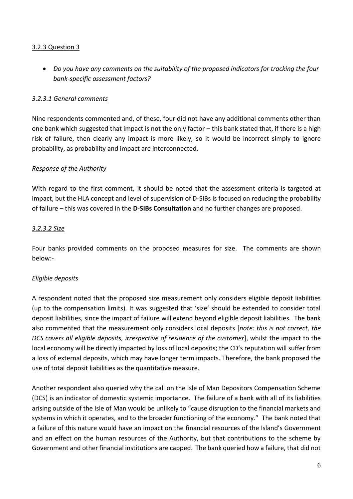#### <span id="page-5-0"></span>3.2.3 Question 3

 *Do you have any comments on the suitability of the proposed indicators for tracking the four bank-specific assessment factors?*

#### *3.2.3.1 General comments*

Nine respondents commented and, of these, four did not have any additional comments other than one bank which suggested that impact is not the only factor – this bank stated that, if there is a high risk of failure, then clearly any impact is more likely, so it would be incorrect simply to ignore probability, as probability and impact are interconnected.

#### *Response of the Authority*

With regard to the first comment, it should be noted that the assessment criteria is targeted at impact, but the HLA concept and level of supervision of D-SIBs is focused on reducing the probability of failure – this was covered in the **D-SIBs Consultation** and no further changes are proposed.

#### *3.2.3.2 Size*

Four banks provided comments on the proposed measures for size. The comments are shown below:-

#### *Eligible deposits*

A respondent noted that the proposed size measurement only considers eligible deposit liabilities (up to the compensation limits). It was suggested that 'size' should be extended to consider total deposit liabilities, since the impact of failure will extend beyond eligible deposit liabilities. The bank also commented that the measurement only considers local deposits [*note: this is not correct, the DCS covers all eligible deposits, irrespective of residence of the customer*], whilst the impact to the local economy will be directly impacted by loss of local deposits; the CD's reputation will suffer from a loss of external deposits, which may have longer term impacts. Therefore, the bank proposed the use of total deposit liabilities as the quantitative measure.

Another respondent also queried why the call on the Isle of Man Depositors Compensation Scheme (DCS) is an indicator of domestic systemic importance. The failure of a bank with all of its liabilities arising outside of the Isle of Man would be unlikely to "cause disruption to the financial markets and systems in which it operates, and to the broader functioning of the economy." The bank noted that a failure of this nature would have an impact on the financial resources of the Island's Government and an effect on the human resources of the Authority, but that contributions to the scheme by Government and other financial institutions are capped. The bank queried how a failure, that did not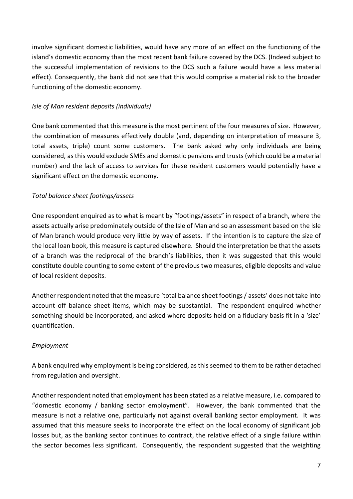involve significant domestic liabilities, would have any more of an effect on the functioning of the island's domestic economy than the most recent bank failure covered by the DCS. (Indeed subject to the successful implementation of revisions to the DCS such a failure would have a less material effect). Consequently, the bank did not see that this would comprise a material risk to the broader functioning of the domestic economy.

#### *Isle of Man resident deposits (individuals)*

One bank commented that this measure is the most pertinent of the four measures of size. However, the combination of measures effectively double (and, depending on interpretation of measure 3, total assets, triple) count some customers. The bank asked why only individuals are being considered, as this would exclude SMEs and domestic pensions and trusts (which could be a material number) and the lack of access to services for these resident customers would potentially have a significant effect on the domestic economy.

# *Total balance sheet footings/assets*

One respondent enquired as to what is meant by "footings/assets" in respect of a branch, where the assets actually arise predominately outside of the Isle of Man and so an assessment based on the Isle of Man branch would produce very little by way of assets. If the intention is to capture the size of the local loan book, this measure is captured elsewhere. Should the interpretation be that the assets of a branch was the reciprocal of the branch's liabilities, then it was suggested that this would constitute double counting to some extent of the previous two measures, eligible deposits and value of local resident deposits.

Another respondent noted that the measure 'total balance sheet footings / assets' does not take into account off balance sheet items, which may be substantial. The respondent enquired whether something should be incorporated, and asked where deposits held on a fiduciary basis fit in a 'size' quantification.

#### *Employment*

A bank enquired why employment is being considered, as this seemed to them to be rather detached from regulation and oversight.

Another respondent noted that employment has been stated as a relative measure, i.e. compared to "domestic economy / banking sector employment". However, the bank commented that the measure is not a relative one, particularly not against overall banking sector employment. It was assumed that this measure seeks to incorporate the effect on the local economy of significant job losses but, as the banking sector continues to contract, the relative effect of a single failure within the sector becomes less significant. Consequently, the respondent suggested that the weighting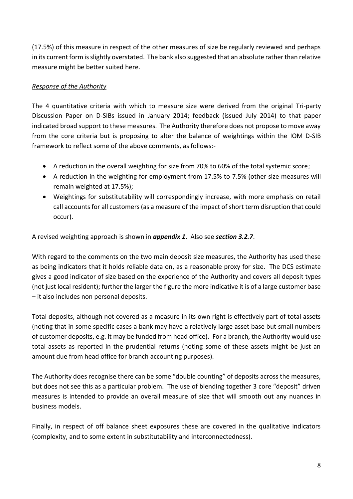(17.5%) of this measure in respect of the other measures of size be regularly reviewed and perhaps in its current form is slightly overstated. The bank also suggested that an absolute rather than relative measure might be better suited here.

# *Response of the Authority*

The 4 quantitative criteria with which to measure size were derived from the original Tri-party Discussion Paper on D-SIBs issued in January 2014; feedback (issued July 2014) to that paper indicated broad support to these measures. The Authority therefore does not propose to move away from the core criteria but is proposing to alter the balance of weightings within the IOM D-SIB framework to reflect some of the above comments, as follows:-

- A reduction in the overall weighting for size from 70% to 60% of the total systemic score;
- A reduction in the weighting for employment from 17.5% to 7.5% (other size measures will remain weighted at 17.5%);
- Weightings for substitutability will correspondingly increase, with more emphasis on retail call accounts for all customers (as a measure of the impact of short term disruption that could occur).

A revised weighting approach is shown in *appendix 1*. Also see *section 3.2.7*.

With regard to the comments on the two main deposit size measures, the Authority has used these as being indicators that it holds reliable data on, as a reasonable proxy for size. The DCS estimate gives a good indicator of size based on the experience of the Authority and covers all deposit types (not just local resident); further the larger the figure the more indicative it is of a large customer base – it also includes non personal deposits.

Total deposits, although not covered as a measure in its own right is effectively part of total assets (noting that in some specific cases a bank may have a relatively large asset base but small numbers of customer deposits, e.g. it may be funded from head office). For a branch, the Authority would use total assets as reported in the prudential returns (noting some of these assets might be just an amount due from head office for branch accounting purposes).

The Authority does recognise there can be some "double counting" of deposits across the measures, but does not see this as a particular problem. The use of blending together 3 core "deposit" driven measures is intended to provide an overall measure of size that will smooth out any nuances in business models.

Finally, in respect of off balance sheet exposures these are covered in the qualitative indicators (complexity, and to some extent in substitutability and interconnectedness).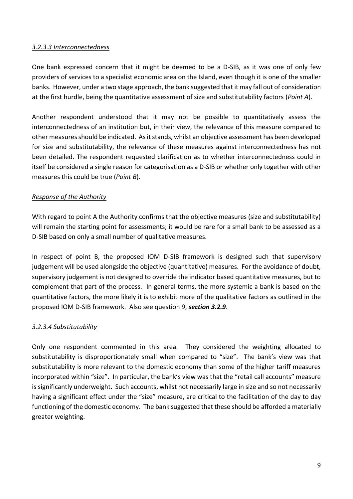#### *3.2.3.3 Interconnectedness*

One bank expressed concern that it might be deemed to be a D-SIB, as it was one of only few providers of services to a specialist economic area on the Island, even though it is one of the smaller banks. However, under a two stage approach, the bank suggested that it may fall out of consideration at the first hurdle, being the quantitative assessment of size and substitutability factors (*Point A*).

Another respondent understood that it may not be possible to quantitatively assess the interconnectedness of an institution but, in their view, the relevance of this measure compared to other measures should be indicated. As it stands, whilst an objective assessment has been developed for size and substitutability, the relevance of these measures against interconnectedness has not been detailed. The respondent requested clarification as to whether interconnectedness could in itself be considered a single reason for categorisation as a D-SIB or whether only together with other measures this could be true (*Point B*).

#### *Response of the Authority*

With regard to point A the Authority confirms that the objective measures (size and substitutability) will remain the starting point for assessments; it would be rare for a small bank to be assessed as a D-SIB based on only a small number of qualitative measures.

In respect of point B, the proposed IOM D-SIB framework is designed such that supervisory judgement will be used alongside the objective (quantitative) measures. For the avoidance of doubt, supervisory judgement is not designed to override the indicator based quantitative measures, but to complement that part of the process. In general terms, the more systemic a bank is based on the quantitative factors, the more likely it is to exhibit more of the qualitative factors as outlined in the proposed IOM D-SIB framework. Also see question 9, *section 3.2.9*.

#### *3.2.3.4 Substitutability*

Only one respondent commented in this area. They considered the weighting allocated to substitutability is disproportionately small when compared to "size". The bank's view was that substitutability is more relevant to the domestic economy than some of the higher tariff measures incorporated within "size". In particular, the bank's view was that the "retail call accounts" measure is significantly underweight. Such accounts, whilst not necessarily large in size and so not necessarily having a significant effect under the "size" measure, are critical to the facilitation of the day to day functioning of the domestic economy. The bank suggested that these should be afforded a materially greater weighting.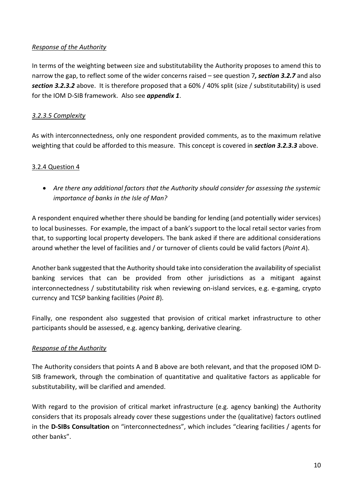# *Response of the Authority*

In terms of the weighting between size and substitutability the Authority proposes to amend this to narrow the gap, to reflect some of the wider concerns raised – see question 7*, section 3.2.7* and also *section 3.2.3.2* above. It is therefore proposed that a 60% / 40% split (size / substitutability) is used for the IOM D-SIB framework. Also see *appendix 1*.

#### *3.2.3.5 Complexity*

As with interconnectedness, only one respondent provided comments, as to the maximum relative weighting that could be afforded to this measure. This concept is covered in *section 3.2.3.3* above.

#### <span id="page-9-0"></span>3.2.4 Question 4

 *Are there any additional factors that the Authority should consider for assessing the systemic importance of banks in the Isle of Man?*

A respondent enquired whether there should be banding for lending (and potentially wider services) to local businesses. For example, the impact of a bank's support to the local retail sector varies from that, to supporting local property developers. The bank asked if there are additional considerations around whether the level of facilities and / or turnover of clients could be valid factors (*Point A*).

Another bank suggested that the Authority should take into consideration the availability of specialist banking services that can be provided from other jurisdictions as a mitigant against interconnectedness / substitutability risk when reviewing on-island services, e.g. e-gaming, crypto currency and TCSP banking facilities (*Point B*).

Finally, one respondent also suggested that provision of critical market infrastructure to other participants should be assessed, e.g. agency banking, derivative clearing.

#### *Response of the Authority*

The Authority considers that points A and B above are both relevant, and that the proposed IOM D-SIB framework, through the combination of quantitative and qualitative factors as applicable for substitutability, will be clarified and amended.

With regard to the provision of critical market infrastructure (e.g. agency banking) the Authority considers that its proposals already cover these suggestions under the (qualitative) factors outlined in the **D-SIBs Consultation** on "interconnectedness", which includes "clearing facilities / agents for other banks".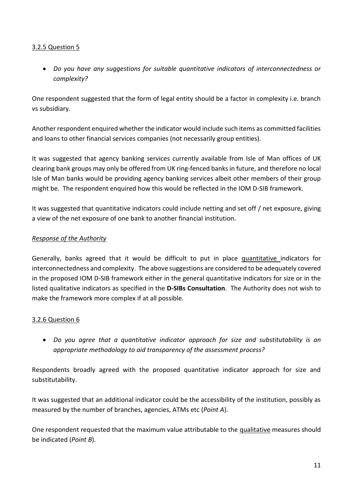# <span id="page-10-0"></span>3.2.5 Question 5

 *Do you have any suggestions for suitable quantitative indicators of interconnectedness or complexity?*

One respondent suggested that the form of legal entity should be a factor in complexity i.e. branch vs subsidiary.

Another respondent enquired whether the indicator would include such items as committed facilities and loans to other financial services companies (not necessarily group entities).

It was suggested that agency banking services currently available from Isle of Man offices of UK clearing bank groups may only be offered from UK ring-fenced banks in future, and therefore no local Isle of Man banks would be providing agency banking services albeit other members of their group might be. The respondent enquired how this would be reflected in the IOM D-SIB framework.

It was suggested that quantitative indicators could include netting and set off / net exposure, giving a view of the net exposure of one bank to another financial institution.

#### *Response of the Authority*

Generally, banks agreed that it would be difficult to put in place quantitative indicators for interconnectedness and complexity. The above suggestions are considered to be adequately covered in the proposed IOM D-SIB framework either in the general quantitative indicators for size or in the listed qualitative indicators as specified in the **D-SIBs Consultation**. The Authority does not wish to make the framework more complex if at all possible.

#### <span id="page-10-1"></span>3.2.6 Question 6

 *Do you agree that a quantitative indicator approach for size and substitutability is an appropriate methodology to aid transparency of the assessment process?*

Respondents broadly agreed with the proposed quantitative indicator approach for size and substitutability.

It was suggested that an additional indicator could be the accessibility of the institution, possibly as measured by the number of branches, agencies, ATMs etc (*Point A*).

One respondent requested that the maximum value attributable to the qualitative measures should be indicated (*Point B*).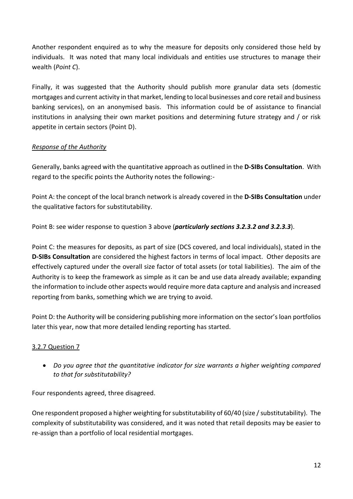Another respondent enquired as to why the measure for deposits only considered those held by individuals. It was noted that many local individuals and entities use structures to manage their wealth (*Point C*).

Finally, it was suggested that the Authority should publish more granular data sets (domestic mortgages and current activity in that market, lending to local businesses and core retail and business banking services), on an anonymised basis. This information could be of assistance to financial institutions in analysing their own market positions and determining future strategy and / or risk appetite in certain sectors (Point D).

# *Response of the Authority*

Generally, banks agreed with the quantitative approach as outlined in the **D-SIBs Consultation**. With regard to the specific points the Authority notes the following:-

Point A: the concept of the local branch network is already covered in the **D-SIBs Consultation** under the qualitative factors for substitutability.

Point B: see wider response to question 3 above (*particularly sections 3.2.3.2 and 3.2.3.3*).

Point C: the measures for deposits, as part of size (DCS covered, and local individuals), stated in the **D-SIBs Consultation** are considered the highest factors in terms of local impact. Other deposits are effectively captured under the overall size factor of total assets (or total liabilities). The aim of the Authority is to keep the framework as simple as it can be and use data already available; expanding the information to include other aspects would require more data capture and analysis and increased reporting from banks, something which we are trying to avoid.

Point D: the Authority will be considering publishing more information on the sector's loan portfolios later this year, now that more detailed lending reporting has started.

# <span id="page-11-0"></span>3.2.7 Question 7

 *Do you agree that the quantitative indicator for size warrants a higher weighting compared to that for substitutability?*

Four respondents agreed, three disagreed.

One respondent proposed a higher weighting for substitutability of 60/40 (size / substitutability). The complexity of substitutability was considered, and it was noted that retail deposits may be easier to re-assign than a portfolio of local residential mortgages.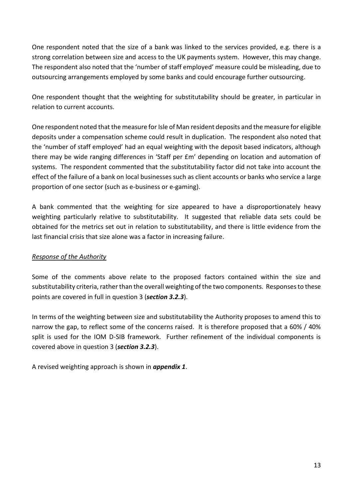One respondent noted that the size of a bank was linked to the services provided, e.g. there is a strong correlation between size and access to the UK payments system. However, this may change. The respondent also noted that the 'number of staff employed' measure could be misleading, due to outsourcing arrangements employed by some banks and could encourage further outsourcing.

One respondent thought that the weighting for substitutability should be greater, in particular in relation to current accounts.

One respondent noted that the measure for Isle of Man resident deposits and the measure for eligible deposits under a compensation scheme could result in duplication. The respondent also noted that the 'number of staff employed' had an equal weighting with the deposit based indicators, although there may be wide ranging differences in 'Staff per £m' depending on location and automation of systems. The respondent commented that the substitutability factor did not take into account the effect of the failure of a bank on local businesses such as client accounts or banks who service a large proportion of one sector (such as e-business or e-gaming).

A bank commented that the weighting for size appeared to have a disproportionately heavy weighting particularly relative to substitutability. It suggested that reliable data sets could be obtained for the metrics set out in relation to substitutability, and there is little evidence from the last financial crisis that size alone was a factor in increasing failure.

#### *Response of the Authority*

Some of the comments above relate to the proposed factors contained within the size and substitutability criteria, rather than the overall weighting of the two components. Responses to these points are covered in full in question 3 (*section 3.2.3*).

In terms of the weighting between size and substitutability the Authority proposes to amend this to narrow the gap, to reflect some of the concerns raised. It is therefore proposed that a 60% / 40% split is used for the IOM D-SIB framework. Further refinement of the individual components is covered above in question 3 (*section 3.2.3*).

<span id="page-12-0"></span>A revised weighting approach is shown in *appendix 1*.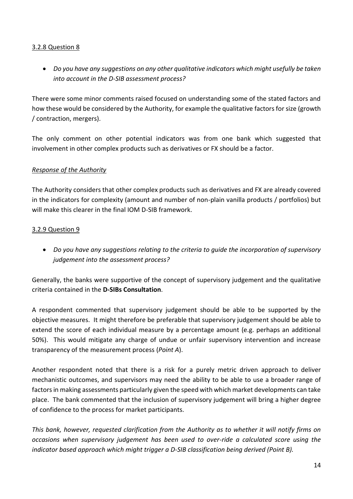#### 3.2.8 Question 8

 *Do you have any suggestions on any other qualitative indicators which might usefully be taken into account in the D-SIB assessment process?*

There were some minor comments raised focused on understanding some of the stated factors and how these would be considered by the Authority, for example the qualitative factors for size (growth / contraction, mergers).

The only comment on other potential indicators was from one bank which suggested that involvement in other complex products such as derivatives or FX should be a factor.

#### *Response of the Authority*

The Authority considers that other complex products such as derivatives and FX are already covered in the indicators for complexity (amount and number of non-plain vanilla products / portfolios) but will make this clearer in the final IOM D-SIB framework.

#### <span id="page-13-0"></span>3.2.9 Question 9

 *Do you have any suggestions relating to the criteria to guide the incorporation of supervisory judgement into the assessment process?*

Generally, the banks were supportive of the concept of supervisory judgement and the qualitative criteria contained in the **D-SIBs Consultation**.

A respondent commented that supervisory judgement should be able to be supported by the objective measures. It might therefore be preferable that supervisory judgement should be able to extend the score of each individual measure by a percentage amount (e.g. perhaps an additional 50%). This would mitigate any charge of undue or unfair supervisory intervention and increase transparency of the measurement process (*Point A*).

Another respondent noted that there is a risk for a purely metric driven approach to deliver mechanistic outcomes, and supervisors may need the ability to be able to use a broader range of factors in making assessments particularly given the speed with which market developments can take place. The bank commented that the inclusion of supervisory judgement will bring a higher degree of confidence to the process for market participants.

*This bank, however, requested clarification from the Authority as to whether it will notify firms on occasions when supervisory judgement has been used to over-ride a calculated score using the indicator based approach which might trigger a D-SIB classification being derived (Point B).*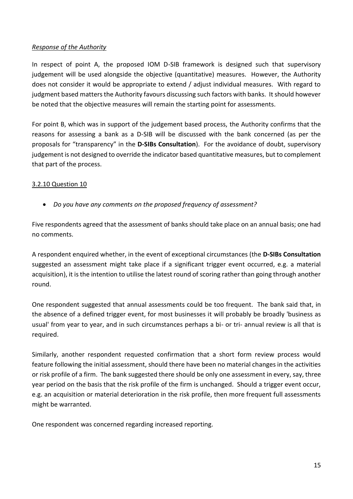#### *Response of the Authority*

In respect of point A, the proposed IOM D-SIB framework is designed such that supervisory judgement will be used alongside the objective (quantitative) measures. However, the Authority does not consider it would be appropriate to extend / adjust individual measures. With regard to judgment based matters the Authority favours discussing such factors with banks. It should however be noted that the objective measures will remain the starting point for assessments.

For point B, which was in support of the judgement based process, the Authority confirms that the reasons for assessing a bank as a D-SIB will be discussed with the bank concerned (as per the proposals for "transparency" in the **D-SIBs Consultation**). For the avoidance of doubt, supervisory judgement is not designed to override the indicator based quantitative measures, but to complement that part of the process.

#### <span id="page-14-0"></span>3.2.10 Question 10

*Do you have any comments on the proposed frequency of assessment?*

Five respondents agreed that the assessment of banks should take place on an annual basis; one had no comments.

A respondent enquired whether, in the event of exceptional circumstances (the **D-SIBs Consultation** suggested an assessment might take place if a significant trigger event occurred, e.g. a material acquisition), it is the intention to utilise the latest round of scoring rather than going through another round.

One respondent suggested that annual assessments could be too frequent. The bank said that, in the absence of a defined trigger event, for most businesses it will probably be broadly 'business as usual' from year to year, and in such circumstances perhaps a bi- or tri- annual review is all that is required.

Similarly, another respondent requested confirmation that a short form review process would feature following the initial assessment, should there have been no material changes in the activities or risk profile of a firm. The bank suggested there should be only one assessment in every, say, three year period on the basis that the risk profile of the firm is unchanged. Should a trigger event occur, e.g. an acquisition or material deterioration in the risk profile, then more frequent full assessments might be warranted.

One respondent was concerned regarding increased reporting.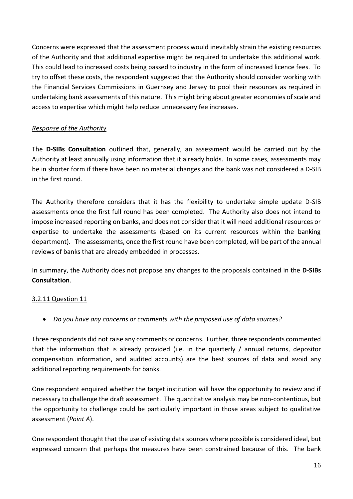Concerns were expressed that the assessment process would inevitably strain the existing resources of the Authority and that additional expertise might be required to undertake this additional work. This could lead to increased costs being passed to industry in the form of increased licence fees. To try to offset these costs, the respondent suggested that the Authority should consider working with the Financial Services Commissions in Guernsey and Jersey to pool their resources as required in undertaking bank assessments of this nature. This might bring about greater economies of scale and access to expertise which might help reduce unnecessary fee increases.

#### *Response of the Authority*

<span id="page-15-0"></span>The **D-SIBs Consultation** outlined that, generally, an assessment would be carried out by the Authority at least annually using information that it already holds. In some cases, assessments may be in shorter form if there have been no material changes and the bank was not considered a D-SIB in the first round.

The Authority therefore considers that it has the flexibility to undertake simple update D-SIB assessments once the first full round has been completed. The Authority also does not intend to impose increased reporting on banks, and does not consider that it will need additional resources or expertise to undertake the assessments (based on its current resources within the banking department). The assessments, once the first round have been completed, will be part of the annual reviews of banks that are already embedded in processes.

In summary, the Authority does not propose any changes to the proposals contained in the **D-SIBs Consultation**.

#### 3.2.11 Question 11

*Do you have any concerns or comments with the proposed use of data sources?*

Three respondents did not raise any comments or concerns. Further, three respondents commented that the information that is already provided (i.e. in the quarterly / annual returns, depositor compensation information, and audited accounts) are the best sources of data and avoid any additional reporting requirements for banks.

One respondent enquired whether the target institution will have the opportunity to review and if necessary to challenge the draft assessment. The quantitative analysis may be non-contentious, but the opportunity to challenge could be particularly important in those areas subject to qualitative assessment (*Point A*).

One respondent thought that the use of existing data sources where possible is considered ideal, but expressed concern that perhaps the measures have been constrained because of this. The bank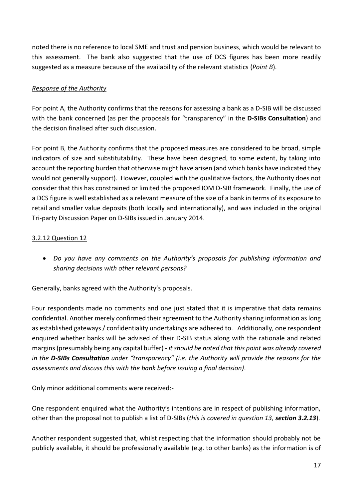noted there is no reference to local SME and trust and pension business, which would be relevant to this assessment. The bank also suggested that the use of DCS figures has been more readily suggested as a measure because of the availability of the relevant statistics (*Point B*).

#### *Response of the Authority*

For point A, the Authority confirms that the reasons for assessing a bank as a D-SIB will be discussed with the bank concerned (as per the proposals for "transparency" in the **D-SIBs Consultation**) and the decision finalised after such discussion.

For point B, the Authority confirms that the proposed measures are considered to be broad, simple indicators of size and substitutability. These have been designed, to some extent, by taking into account the reporting burden that otherwise might have arisen (and which banks have indicated they would not generally support). However, coupled with the qualitative factors, the Authority does not consider that this has constrained or limited the proposed IOM D-SIB framework. Finally, the use of a DCS figure is well established as a relevant measure of the size of a bank in terms of its exposure to retail and smaller value deposits (both locally and internationally), and was included in the original Tri-party Discussion Paper on D-SIBs issued in January 2014.

#### <span id="page-16-0"></span>3.2.12 Question 12

 *Do you have any comments on the Authority's proposals for publishing information and sharing decisions with other relevant persons?*

Generally, banks agreed with the Authority's proposals.

Four respondents made no comments and one just stated that it is imperative that data remains confidential. Another merely confirmed their agreement to the Authority sharing information as long as established gateways / confidentiality undertakings are adhered to. Additionally, one respondent enquired whether banks will be advised of their D-SIB status along with the rationale and related margins (presumably being any capital buffer) - *it should be noted that this point was already covered in the D-SIBs Consultation under "transparency" (i.e. the Authority will provide the reasons for the assessments and discuss this with the bank before issuing a final decision)*.

Only minor additional comments were received:-

One respondent enquired what the Authority's intentions are in respect of publishing information, other than the proposal not to publish a list of D-SIBs (*this is covered in question 13, section 3.2.13*).

Another respondent suggested that, whilst respecting that the information should probably not be publicly available, it should be professionally available (e.g. to other banks) as the information is of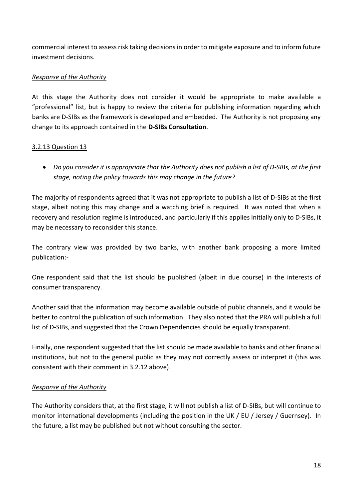commercial interest to assess risk taking decisions in order to mitigate exposure and to inform future investment decisions.

#### *Response of the Authority*

At this stage the Authority does not consider it would be appropriate to make available a "professional" list, but is happy to review the criteria for publishing information regarding which banks are D-SIBs as the framework is developed and embedded. The Authority is not proposing any change to its approach contained in the **D-SIBs Consultation**.

#### <span id="page-17-0"></span>3.2.13 Question 13

 *Do you consider it is appropriate that the Authority does not publish a list of D-SIBs, at the first stage, noting the policy towards this may change in the future?*

The majority of respondents agreed that it was not appropriate to publish a list of D-SIBs at the first stage, albeit noting this may change and a watching brief is required. It was noted that when a recovery and resolution regime is introduced, and particularly if this applies initially only to D-SIBs, it may be necessary to reconsider this stance.

The contrary view was provided by two banks, with another bank proposing a more limited publication:-

One respondent said that the list should be published (albeit in due course) in the interests of consumer transparency.

Another said that the information may become available outside of public channels, and it would be better to control the publication of such information. They also noted that the PRA will publish a full list of D-SIBs, and suggested that the Crown Dependencies should be equally transparent.

Finally, one respondent suggested that the list should be made available to banks and other financial institutions, but not to the general public as they may not correctly assess or interpret it (this was consistent with their comment in 3.2.12 above).

#### *Response of the Authority*

<span id="page-17-1"></span>The Authority considers that, at the first stage, it will not publish a list of D-SIBs, but will continue to monitor international developments (including the position in the UK / EU / Jersey / Guernsey). In the future, a list may be published but not without consulting the sector.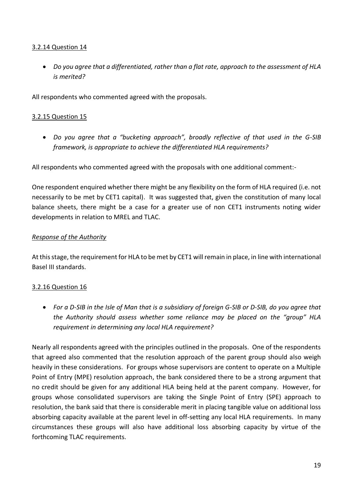#### 3.2.14 Question 14

 *Do you agree that a differentiated, rather than a flat rate, approach to the assessment of HLA is merited?*

All respondents who commented agreed with the proposals.

#### <span id="page-18-0"></span>3.2.15 Question 15

 *Do you agree that a "bucketing approach", broadly reflective of that used in the G-SIB framework, is appropriate to achieve the differentiated HLA requirements?*

All respondents who commented agreed with the proposals with one additional comment:-

One respondent enquired whether there might be any flexibility on the form of HLA required (i.e. not necessarily to be met by CET1 capital). It was suggested that, given the constitution of many local balance sheets, there might be a case for a greater use of non CET1 instruments noting wider developments in relation to MREL and TLAC.

#### *Response of the Authority*

At this stage, the requirement for HLA to be met by CET1 will remain in place, in line with international Basel III standards.

# <span id="page-18-1"></span>3.2.16 Question 16

 *For a D-SIB in the Isle of Man that is a subsidiary of foreign G-SIB or D-SIB, do you agree that the Authority should assess whether some reliance may be placed on the "group" HLA requirement in determining any local HLA requirement?*

Nearly all respondents agreed with the principles outlined in the proposals. One of the respondents that agreed also commented that the resolution approach of the parent group should also weigh heavily in these considerations. For groups whose supervisors are content to operate on a Multiple Point of Entry (MPE) resolution approach, the bank considered there to be a strong argument that no credit should be given for any additional HLA being held at the parent company. However, for groups whose consolidated supervisors are taking the Single Point of Entry (SPE) approach to resolution, the bank said that there is considerable merit in placing tangible value on additional loss absorbing capacity available at the parent level in off-setting any local HLA requirements. In many circumstances these groups will also have additional loss absorbing capacity by virtue of the forthcoming TLAC requirements.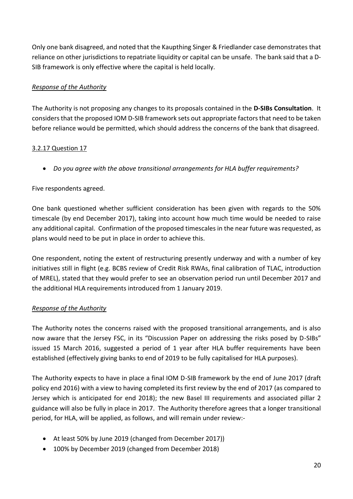Only one bank disagreed, and noted that the Kaupthing Singer & Friedlander case demonstrates that reliance on other jurisdictions to repatriate liquidity or capital can be unsafe. The bank said that a D-SIB framework is only effective where the capital is held locally.

# *Response of the Authority*

<span id="page-19-0"></span>The Authority is not proposing any changes to its proposals contained in the **D-SIBs Consultation**. It considers that the proposed IOM D-SIB framework sets out appropriate factors that need to be taken before reliance would be permitted, which should address the concerns of the bank that disagreed.

#### 3.2.17 Question 17

*Do you agree with the above transitional arrangements for HLA buffer requirements?*

# Five respondents agreed.

One bank questioned whether sufficient consideration has been given with regards to the 50% timescale (by end December 2017), taking into account how much time would be needed to raise any additional capital. Confirmation of the proposed timescales in the near future was requested, as plans would need to be put in place in order to achieve this.

One respondent, noting the extent of restructuring presently underway and with a number of key initiatives still in flight (e.g. BCBS review of Credit Risk RWAs, final calibration of TLAC, introduction of MREL), stated that they would prefer to see an observation period run until December 2017 and the additional HLA requirements introduced from 1 January 2019.

#### *Response of the Authority*

The Authority notes the concerns raised with the proposed transitional arrangements, and is also now aware that the Jersey FSC, in its "Discussion Paper on addressing the risks posed by D-SIBs" issued 15 March 2016, suggested a period of 1 year after HLA buffer requirements have been established (effectively giving banks to end of 2019 to be fully capitalised for HLA purposes).

The Authority expects to have in place a final IOM D-SIB framework by the end of June 2017 (draft policy end 2016) with a view to having completed its first review by the end of 2017 (as compared to Jersey which is anticipated for end 2018); the new Basel III requirements and associated pillar 2 guidance will also be fully in place in 2017. The Authority therefore agrees that a longer transitional period, for HLA, will be applied, as follows, and will remain under review:-

- At least 50% by June 2019 (changed from December 2017))
- 100% by December 2019 (changed from December 2018)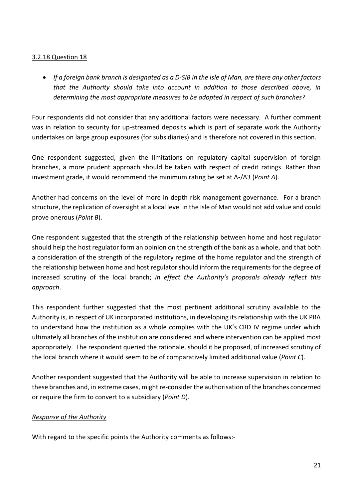#### <span id="page-20-0"></span>3.2.18 Question 18

 *If a foreign bank branch is designated as a D-SIB in the Isle of Man, are there any other factors that the Authority should take into account in addition to those described above, in determining the most appropriate measures to be adopted in respect of such branches?*

Four respondents did not consider that any additional factors were necessary. A further comment was in relation to security for up-streamed deposits which is part of separate work the Authority undertakes on large group exposures (for subsidiaries) and is therefore not covered in this section.

One respondent suggested, given the limitations on regulatory capital supervision of foreign branches, a more prudent approach should be taken with respect of credit ratings. Rather than investment grade, it would recommend the minimum rating be set at A-/A3 (*Point A*).

Another had concerns on the level of more in depth risk management governance. For a branch structure, the replication of oversight at a local level in the Isle of Man would not add value and could prove onerous (*Point B*).

One respondent suggested that the strength of the relationship between home and host regulator should help the host regulator form an opinion on the strength of the bank as a whole, and that both a consideration of the strength of the regulatory regime of the home regulator and the strength of the relationship between home and host regulator should inform the requirements for the degree of increased scrutiny of the local branch; *in effect the Authority's proposals already reflect this approach*.

This respondent further suggested that the most pertinent additional scrutiny available to the Authority is, in respect of UK incorporated institutions, in developing its relationship with the UK PRA to understand how the institution as a whole complies with the UK's CRD IV regime under which ultimately all branches of the institution are considered and where intervention can be applied most appropriately. The respondent queried the rationale, should it be proposed, of increased scrutiny of the local branch where it would seem to be of comparatively limited additional value (*Point C*).

Another respondent suggested that the Authority will be able to increase supervision in relation to these branches and, in extreme cases, might re-consider the authorisation of the branches concerned or require the firm to convert to a subsidiary (*Point D*).

#### *Response of the Authority*

With regard to the specific points the Authority comments as follows:-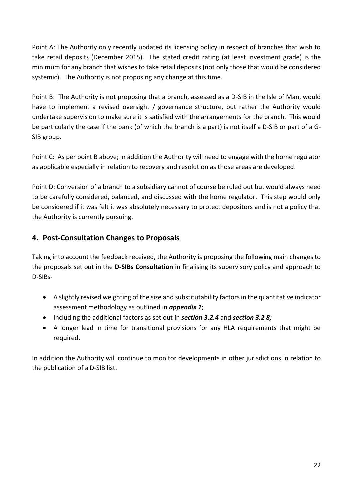Point A: The Authority only recently updated its licensing policy in respect of branches that wish to take retail deposits (December 2015). The stated credit rating (at least investment grade) is the minimum for any branch that wishes to take retail deposits (not only those that would be considered systemic). The Authority is not proposing any change at this time.

Point B: The Authority is not proposing that a branch, assessed as a D-SIB in the Isle of Man, would have to implement a revised oversight / governance structure, but rather the Authority would undertake supervision to make sure it is satisfied with the arrangements for the branch. This would be particularly the case if the bank (of which the branch is a part) is not itself a D-SIB or part of a G-SIB group.

Point C: As per point B above; in addition the Authority will need to engage with the home regulator as applicable especially in relation to recovery and resolution as those areas are developed.

Point D: Conversion of a branch to a subsidiary cannot of course be ruled out but would always need to be carefully considered, balanced, and discussed with the home regulator. This step would only be considered if it was felt it was absolutely necessary to protect depositors and is not a policy that the Authority is currently pursuing.

# <span id="page-21-0"></span>**4. Post-Consultation Changes to Proposals**

Taking into account the feedback received, the Authority is proposing the following main changes to the proposals set out in the **D-SIBs Consultation** in finalising its supervisory policy and approach to D-SIBs-

- A slightly revised weighting of the size and substitutability factors in the quantitative indicator assessment methodology as outlined in *appendix 1*;
- Including the additional factors as set out in *section 3.2.4* and *section 3.2.8;*
- A longer lead in time for transitional provisions for any HLA requirements that might be required.

In addition the Authority will continue to monitor developments in other jurisdictions in relation to the publication of a D-SIB list.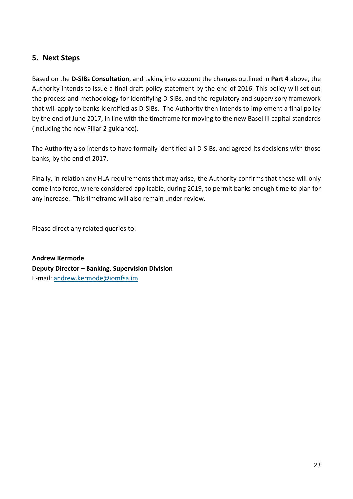# <span id="page-22-0"></span>**5. Next Steps**

Based on the **D-SIBs Consultation**, and taking into account the changes outlined in **Part 4** above, the Authority intends to issue a final draft policy statement by the end of 2016. This policy will set out the process and methodology for identifying D-SIBs, and the regulatory and supervisory framework that will apply to banks identified as D-SIBs. The Authority then intends to implement a final policy by the end of June 2017, in line with the timeframe for moving to the new Basel III capital standards (including the new Pillar 2 guidance).

The Authority also intends to have formally identified all D-SIBs, and agreed its decisions with those banks, by the end of 2017.

Finally, in relation any HLA requirements that may arise, the Authority confirms that these will only come into force, where considered applicable, during 2019, to permit banks enough time to plan for any increase. This timeframe will also remain under review.

Please direct any related queries to:

**Andrew Kermode Deputy Director – Banking, Supervision Division** E-mail: [andrew.kermode@iomfsa.im](mailto:andrew.kermode@iomfsa.im)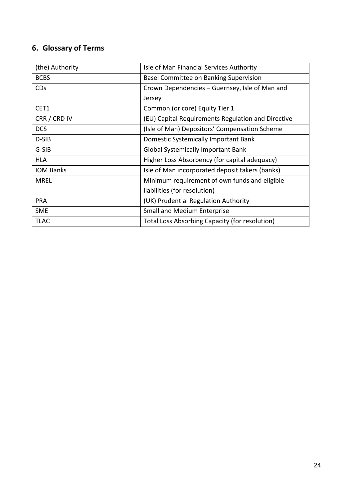# <span id="page-23-0"></span>**6. Glossary of Terms**

| (the) Authority       | Isle of Man Financial Services Authority           |
|-----------------------|----------------------------------------------------|
| <b>BCBS</b>           | Basel Committee on Banking Supervision             |
| <b>CD<sub>S</sub></b> | Crown Dependencies – Guernsey, Isle of Man and     |
|                       | Jersey                                             |
| CET1                  | Common (or core) Equity Tier 1                     |
| CRR / CRD IV          | (EU) Capital Requirements Regulation and Directive |
| <b>DCS</b>            | (Isle of Man) Depositors' Compensation Scheme      |
| D-SIB                 | Domestic Systemically Important Bank               |
| G-SIB                 | <b>Global Systemically Important Bank</b>          |
| <b>HLA</b>            | Higher Loss Absorbency (for capital adequacy)      |
| <b>IOM Banks</b>      | Isle of Man incorporated deposit takers (banks)    |
| <b>MREL</b>           | Minimum requirement of own funds and eligible      |
|                       | liabilities (for resolution)                       |
| <b>PRA</b>            | (UK) Prudential Regulation Authority               |
| <b>SME</b>            | <b>Small and Medium Enterprise</b>                 |
| <b>TLAC</b>           | Total Loss Absorbing Capacity (for resolution)     |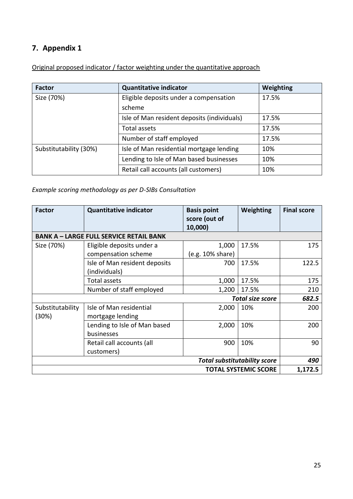# **7. Appendix 1**

Original proposed indicator / factor weighting under the quantitative approach

| Factor                 | <b>Quantitative indicator</b>               | <b>Weighting</b> |
|------------------------|---------------------------------------------|------------------|
| Size (70%)             | Eligible deposits under a compensation      | 17.5%            |
|                        | scheme                                      |                  |
|                        | Isle of Man resident deposits (individuals) | 17.5%            |
|                        | Total assets                                | 17.5%            |
|                        | Number of staff employed                    | 17.5%            |
| Substitutability (30%) | Isle of Man residential mortgage lending    | 10%              |
|                        | Lending to Isle of Man based businesses     | 10%              |
|                        | Retail call accounts (all customers)        | 10%              |

*Example scoring methodology as per D-SIBs Consultation*

| <b>Factor</b>                                  | <b>Quantitative indicator</b>              | <b>Basis point</b><br>score (out of<br>10,000) | <b>Weighting</b>            | <b>Final score</b> |
|------------------------------------------------|--------------------------------------------|------------------------------------------------|-----------------------------|--------------------|
| <b>BANK A - LARGE FULL SERVICE RETAIL BANK</b> |                                            |                                                |                             |                    |
| Size (70%)                                     | Eligible deposits under a                  | 1,000                                          | 17.5%                       | 175                |
|                                                | compensation scheme                        | (e.g. 10% share)                               |                             |                    |
|                                                | Isle of Man resident deposits              | 700                                            | 17.5%                       | 122.5              |
|                                                | (individuals)                              |                                                |                             |                    |
|                                                | Total assets                               | 1,000                                          | 17.5%                       | 175                |
|                                                | Number of staff employed                   | 1,200                                          | 17.5%                       | 210                |
|                                                |                                            |                                                | <b>Total size score</b>     | 682.5              |
| Substitutability                               | Isle of Man residential                    | 2,000                                          | 10%                         | 200                |
| (30%)                                          | mortgage lending                           |                                                |                             |                    |
|                                                | Lending to Isle of Man based               | 2,000                                          | 10%                         | 200                |
|                                                | businesses                                 |                                                |                             |                    |
|                                                | Retail call accounts (all                  | 900                                            | 10%                         | 90                 |
|                                                | customers)                                 |                                                |                             |                    |
|                                                | <b>Total substitutability score</b><br>490 |                                                |                             |                    |
|                                                |                                            |                                                | <b>TOTAL SYSTEMIC SCORE</b> | 1,172.5            |